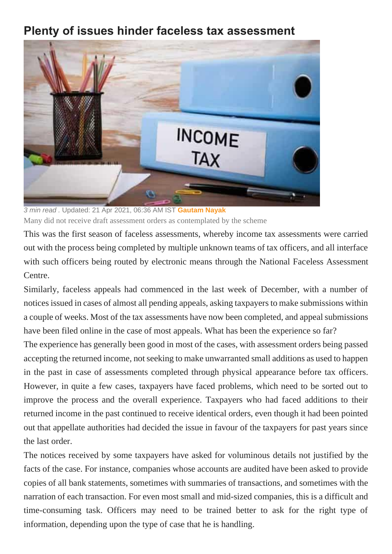## **Plenty of issues hinder faceless tax assessment**



*3 min read .* Updated: 21 Apr 2021, 06:36 AM IST **[Gautam Nayak](https://www.livemint.com/Search/Link/Author/Gautam-Nayak)** Many did not receive draft assessment orders as contemplated by the scheme

This was the first season of faceless assessments, whereby income tax assessments were carried out with the process being completed by multiple unknown teams of tax officers, and all interface with such officers being routed by electronic means through the National Faceless Assessment Centre.

Similarly, faceless appeals had commenced in the last week of December, with a number of notices issued in cases of almost all pending appeals, asking taxpayers to make submissions within a couple of weeks. Most of the tax assessments have now been completed, and appeal submissions have been filed online in the case of most appeals. What has been the experience so far?

The experience has generally been good in most of the cases, with assessment orders being passed accepting the returned income, not seeking to make unwarranted small additions as used to happen in the past in case of assessments completed through physical appearance before tax officers. However, in quite a few cases, taxpayers have faced problems, which need to be sorted out to improve the process and the overall experience. Taxpayers who had faced additions to their returned income in the past continued to receive identical orders, even though it had been pointed out that appellate authorities had decided the issue in favour of the taxpayers for past years since the last order.

The notices received by some taxpayers have asked for voluminous details not justified by the facts of the case. For instance, companies whose accounts are audited have been asked to provide copies of all bank statements, sometimes with summaries of transactions, and sometimes with the narration of each transaction. For even most small and mid-sized companies, this is a difficult and time-consuming task. Officers may need to be trained better to ask for the right type of information, depending upon the type of case that he is handling.